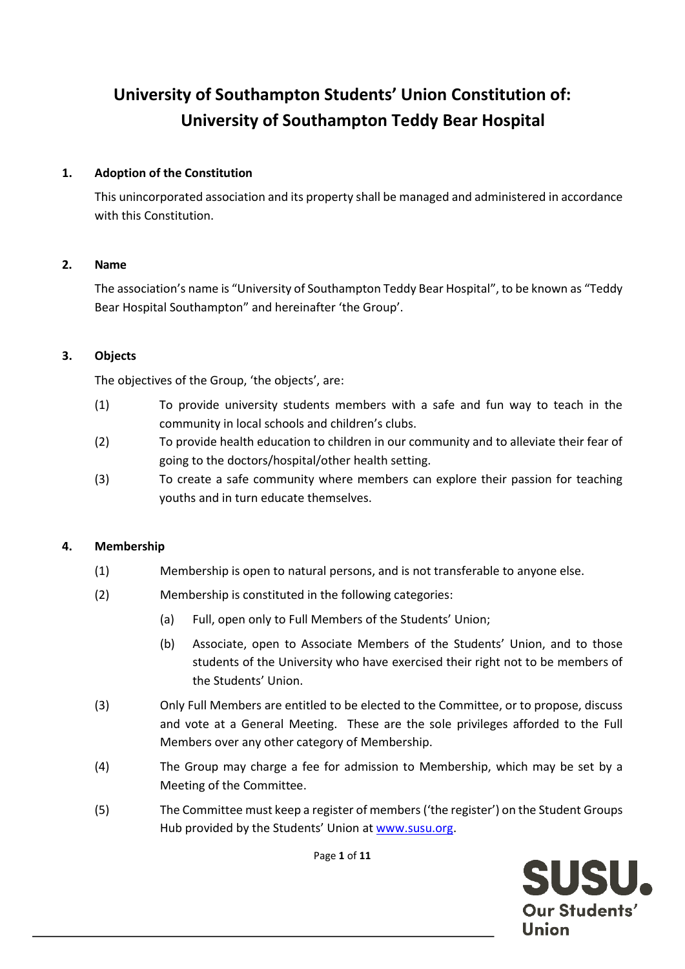# **University of Southampton Students' Union Constitution of: University of Southampton Teddy Bear Hospital**

## **1. Adoption of the Constitution**

This unincorporated association and its property shall be managed and administered in accordance with this Constitution.

#### **2. Name**

The association's name is "University of Southampton Teddy Bear Hospital", to be known as "Teddy Bear Hospital Southampton" and hereinafter 'the Group'.

## **3. Objects**

The objectives of the Group, 'the objects', are:

- (1) To provide university students members with a safe and fun way to teach in the community in local schools and children's clubs.
- (2) To provide health education to children in our community and to alleviate their fear of going to the doctors/hospital/other health setting.
- (3) To create a safe community where members can explore their passion for teaching youths and in turn educate themselves.

#### **4. Membership**

- (1) Membership is open to natural persons, and is not transferable to anyone else.
- (2) Membership is constituted in the following categories:
	- (a) Full, open only to Full Members of the Students' Union;
	- (b) Associate, open to Associate Members of the Students' Union, and to those students of the University who have exercised their right not to be members of the Students' Union.
- (3) Only Full Members are entitled to be elected to the Committee, or to propose, discuss and vote at a General Meeting. These are the sole privileges afforded to the Full Members over any other category of Membership.
- (4) The Group may charge a fee for admission to Membership, which may be set by a Meeting of the Committee.
- (5) The Committee must keep a register of members ('the register') on the Student Groups Hub provided by the Students' Union at [www.susu.org.](http://www.susu.org/)

Page **1** of **11**

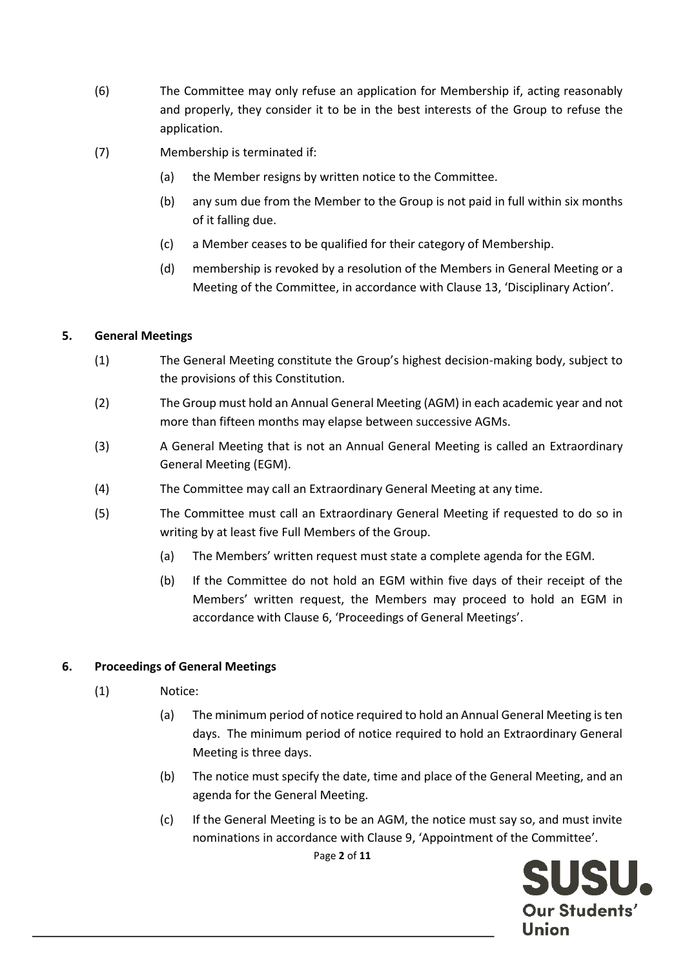- (6) The Committee may only refuse an application for Membership if, acting reasonably and properly, they consider it to be in the best interests of the Group to refuse the application.
- (7) Membership is terminated if:
	- (a) the Member resigns by written notice to the Committee.
	- (b) any sum due from the Member to the Group is not paid in full within six months of it falling due.
	- (c) a Member ceases to be qualified for their category of Membership.
	- (d) membership is revoked by a resolution of the Members in General Meeting or a Meeting of the Committee, in accordance with Clause 13, 'Disciplinary Action'.

# **5. General Meetings**

- (1) The General Meeting constitute the Group's highest decision-making body, subject to the provisions of this Constitution.
- (2) The Group must hold an Annual General Meeting (AGM) in each academic year and not more than fifteen months may elapse between successive AGMs.
- (3) A General Meeting that is not an Annual General Meeting is called an Extraordinary General Meeting (EGM).
- (4) The Committee may call an Extraordinary General Meeting at any time.
- (5) The Committee must call an Extraordinary General Meeting if requested to do so in writing by at least five Full Members of the Group.
	- (a) The Members' written request must state a complete agenda for the EGM.
	- (b) If the Committee do not hold an EGM within five days of their receipt of the Members' written request, the Members may proceed to hold an EGM in accordance with Clause 6, 'Proceedings of General Meetings'.

# **6. Proceedings of General Meetings**

- (1) Notice:
	- (a) The minimum period of notice required to hold an Annual General Meeting is ten days. The minimum period of notice required to hold an Extraordinary General Meeting is three days.
	- (b) The notice must specify the date, time and place of the General Meeting, and an agenda for the General Meeting.
	- Page **2** of **11** (c) If the General Meeting is to be an AGM, the notice must say so, and must invite nominations in accordance with Clause 9, 'Appointment of the Committee'.

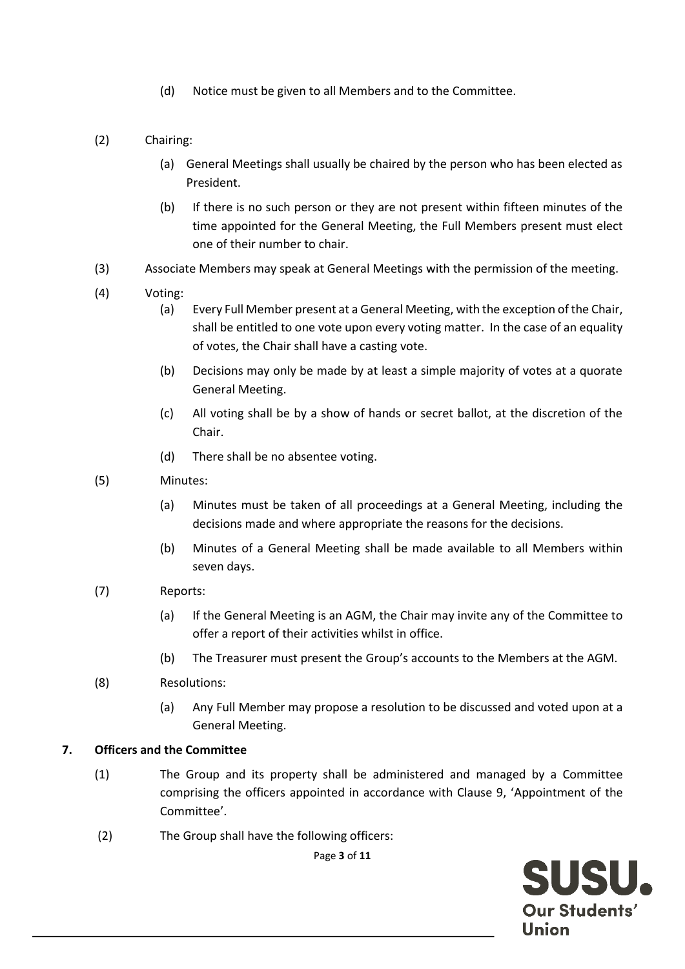- (d) Notice must be given to all Members and to the Committee.
- (2) Chairing:
	- (a) General Meetings shall usually be chaired by the person who has been elected as President.
	- (b) If there is no such person or they are not present within fifteen minutes of the time appointed for the General Meeting, the Full Members present must elect one of their number to chair.
- (3) Associate Members may speak at General Meetings with the permission of the meeting.
- (4) Voting:
	- (a) Every Full Member present at a General Meeting, with the exception of the Chair, shall be entitled to one vote upon every voting matter. In the case of an equality of votes, the Chair shall have a casting vote.
	- (b) Decisions may only be made by at least a simple majority of votes at a quorate General Meeting.
	- (c) All voting shall be by a show of hands or secret ballot, at the discretion of the Chair.
	- (d) There shall be no absentee voting.
- (5) Minutes:
	- (a) Minutes must be taken of all proceedings at a General Meeting, including the decisions made and where appropriate the reasons for the decisions.
	- (b) Minutes of a General Meeting shall be made available to all Members within seven days.
- (7) Reports:
	- (a) If the General Meeting is an AGM, the Chair may invite any of the Committee to offer a report of their activities whilst in office.
	- (b) The Treasurer must present the Group's accounts to the Members at the AGM.
- (8) Resolutions:
	- (a) Any Full Member may propose a resolution to be discussed and voted upon at a General Meeting.

## **7. Officers and the Committee**

- (1) The Group and its property shall be administered and managed by a Committee comprising the officers appointed in accordance with Clause 9, 'Appointment of the Committee'.
- (2) The Group shall have the following officers:

Page **3** of **11**

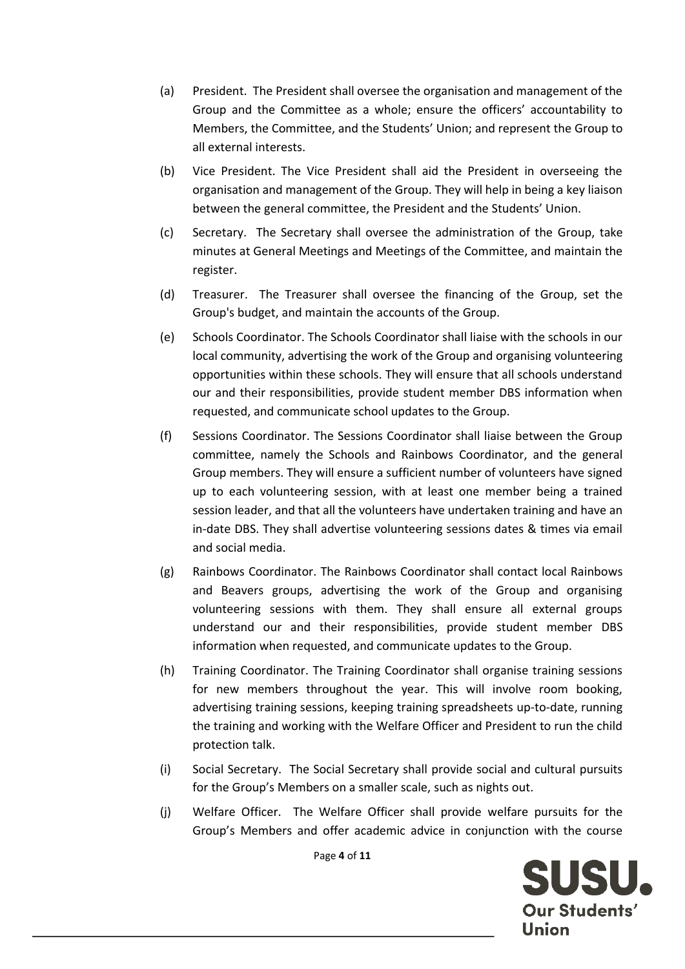- (a) President. The President shall oversee the organisation and management of the Group and the Committee as a whole; ensure the officers' accountability to Members, the Committee, and the Students' Union; and represent the Group to all external interests.
- (b) Vice President. The Vice President shall aid the President in overseeing the organisation and management of the Group. They will help in being a key liaison between the general committee, the President and the Students' Union.
- (c) Secretary. The Secretary shall oversee the administration of the Group, take minutes at General Meetings and Meetings of the Committee, and maintain the register.
- (d) Treasurer. The Treasurer shall oversee the financing of the Group, set the Group's budget, and maintain the accounts of the Group.
- (e) Schools Coordinator. The Schools Coordinator shall liaise with the schools in our local community, advertising the work of the Group and organising volunteering opportunities within these schools. They will ensure that all schools understand our and their responsibilities, provide student member DBS information when requested, and communicate school updates to the Group.
- (f) Sessions Coordinator. The Sessions Coordinator shall liaise between the Group committee, namely the Schools and Rainbows Coordinator, and the general Group members. They will ensure a sufficient number of volunteers have signed up to each volunteering session, with at least one member being a trained session leader, and that all the volunteers have undertaken training and have an in-date DBS. They shall advertise volunteering sessions dates & times via email and social media.
- (g) Rainbows Coordinator. The Rainbows Coordinator shall contact local Rainbows and Beavers groups, advertising the work of the Group and organising volunteering sessions with them. They shall ensure all external groups understand our and their responsibilities, provide student member DBS information when requested, and communicate updates to the Group.
- (h) Training Coordinator. The Training Coordinator shall organise training sessions for new members throughout the year. This will involve room booking, advertising training sessions, keeping training spreadsheets up-to-date, running the training and working with the Welfare Officer and President to run the child protection talk.
- (i) Social Secretary. The Social Secretary shall provide social and cultural pursuits for the Group's Members on a smaller scale, such as nights out.
- (j) Welfare Officer. The Welfare Officer shall provide welfare pursuits for the Group's Members and offer academic advice in conjunction with the course

Page **4** of **11**

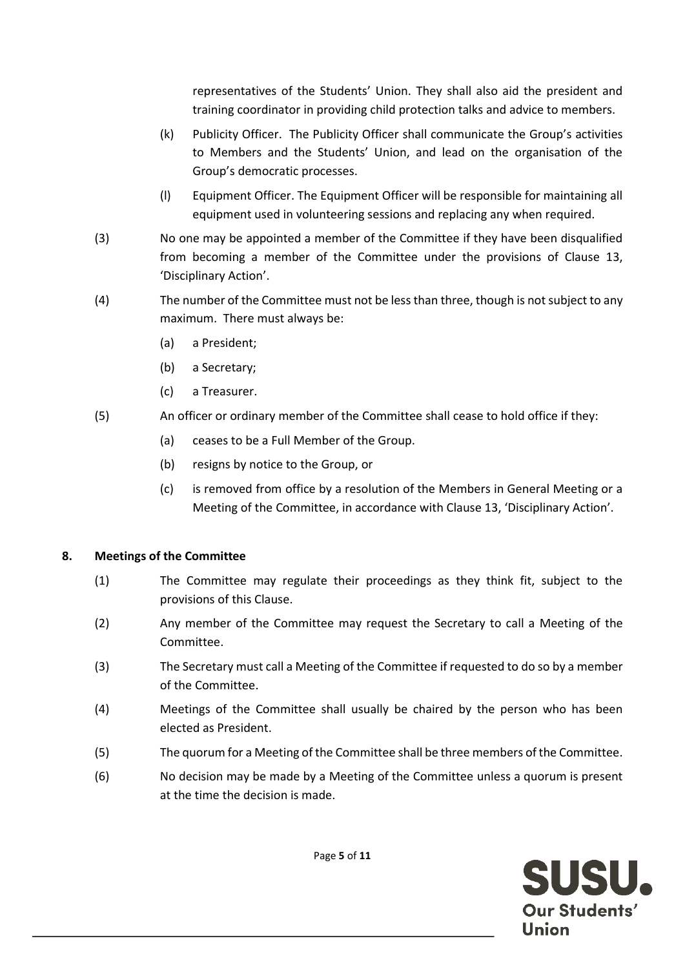representatives of the Students' Union. They shall also aid the president and training coordinator in providing child protection talks and advice to members.

- (k) Publicity Officer. The Publicity Officer shall communicate the Group's activities to Members and the Students' Union, and lead on the organisation of the Group's democratic processes.
- (l) Equipment Officer. The Equipment Officer will be responsible for maintaining all equipment used in volunteering sessions and replacing any when required.
- (3) No one may be appointed a member of the Committee if they have been disqualified from becoming a member of the Committee under the provisions of Clause 13, 'Disciplinary Action'.
- (4) The number of the Committee must not be less than three, though is not subject to any maximum. There must always be:
	- (a) a President;
	- (b) a Secretary;
	- (c) a Treasurer.
- (5) An officer or ordinary member of the Committee shall cease to hold office if they:
	- (a) ceases to be a Full Member of the Group.
	- (b) resigns by notice to the Group, or
	- (c) is removed from office by a resolution of the Members in General Meeting or a Meeting of the Committee, in accordance with Clause 13, 'Disciplinary Action'.

#### **8. Meetings of the Committee**

- (1) The Committee may regulate their proceedings as they think fit, subject to the provisions of this Clause.
- (2) Any member of the Committee may request the Secretary to call a Meeting of the Committee.
- (3) The Secretary must call a Meeting of the Committee if requested to do so by a member of the Committee.
- (4) Meetings of the Committee shall usually be chaired by the person who has been elected as President.
- (5) The quorum for a Meeting of the Committee shall be three members of the Committee.
- (6) No decision may be made by a Meeting of the Committee unless a quorum is present at the time the decision is made.



Page **5** of **11**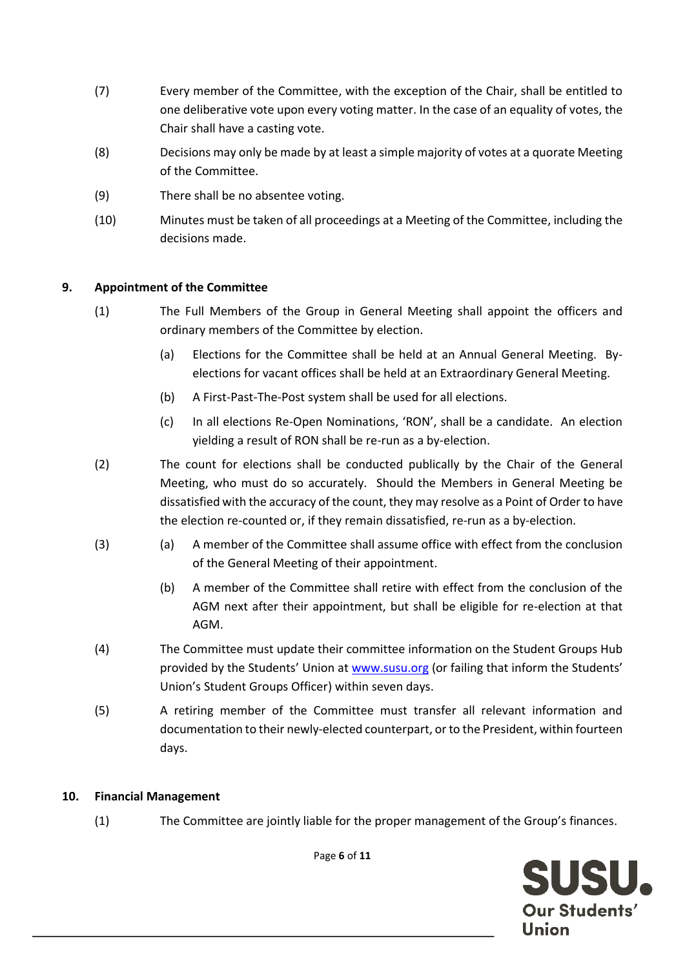- (7) Every member of the Committee, with the exception of the Chair, shall be entitled to one deliberative vote upon every voting matter. In the case of an equality of votes, the Chair shall have a casting vote.
- (8) Decisions may only be made by at least a simple majority of votes at a quorate Meeting of the Committee.
- (9) There shall be no absentee voting.
- (10) Minutes must be taken of all proceedings at a Meeting of the Committee, including the decisions made.

# **9. Appointment of the Committee**

- (1) The Full Members of the Group in General Meeting shall appoint the officers and ordinary members of the Committee by election.
	- (a) Elections for the Committee shall be held at an Annual General Meeting. Byelections for vacant offices shall be held at an Extraordinary General Meeting.
	- (b) A First-Past-The-Post system shall be used for all elections.
	- (c) In all elections Re-Open Nominations, 'RON', shall be a candidate. An election yielding a result of RON shall be re-run as a by-election.
- (2) The count for elections shall be conducted publically by the Chair of the General Meeting, who must do so accurately. Should the Members in General Meeting be dissatisfied with the accuracy of the count, they may resolve as a Point of Order to have the election re-counted or, if they remain dissatisfied, re-run as a by-election.
- (3) (a) A member of the Committee shall assume office with effect from the conclusion of the General Meeting of their appointment.
	- (b) A member of the Committee shall retire with effect from the conclusion of the AGM next after their appointment, but shall be eligible for re-election at that AGM.
- (4) The Committee must update their committee information on the Student Groups Hub provided by the Students' Union at [www.susu.org](http://www.susu.org/) (or failing that inform the Students' Union's Student Groups Officer) within seven days.
- (5) A retiring member of the Committee must transfer all relevant information and documentation to their newly-elected counterpart, or to the President, within fourteen days.

# **10. Financial Management**

(1) The Committee are jointly liable for the proper management of the Group's finances.

SUSU. Our Students' Union

Page **6** of **11**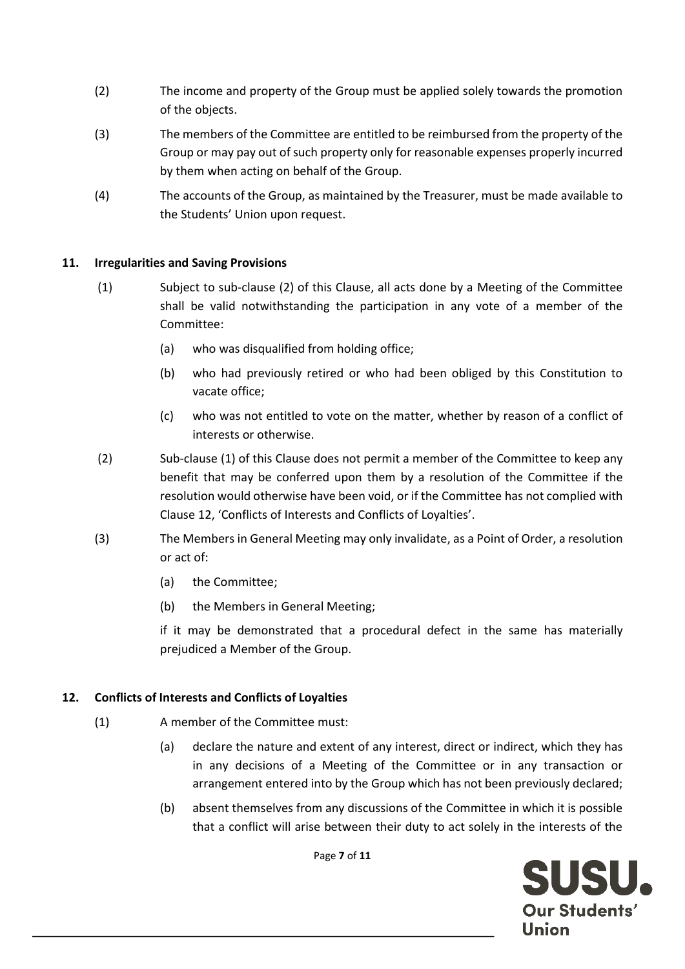- (2) The income and property of the Group must be applied solely towards the promotion of the objects.
- (3) The members of the Committee are entitled to be reimbursed from the property of the Group or may pay out of such property only for reasonable expenses properly incurred by them when acting on behalf of the Group.
- (4) The accounts of the Group, as maintained by the Treasurer, must be made available to the Students' Union upon request.

#### **11. Irregularities and Saving Provisions**

- (1) Subject to sub-clause (2) of this Clause, all acts done by a Meeting of the Committee shall be valid notwithstanding the participation in any vote of a member of the Committee:
	- (a) who was disqualified from holding office;
	- (b) who had previously retired or who had been obliged by this Constitution to vacate office;
	- (c) who was not entitled to vote on the matter, whether by reason of a conflict of interests or otherwise.
- (2) Sub-clause (1) of this Clause does not permit a member of the Committee to keep any benefit that may be conferred upon them by a resolution of the Committee if the resolution would otherwise have been void, or if the Committee has not complied with Clause 12, 'Conflicts of Interests and Conflicts of Loyalties'.
- (3) The Members in General Meeting may only invalidate, as a Point of Order, a resolution or act of:
	- (a) the Committee;
	- (b) the Members in General Meeting;

if it may be demonstrated that a procedural defect in the same has materially prejudiced a Member of the Group.

#### **12. Conflicts of Interests and Conflicts of Loyalties**

- (1) A member of the Committee must:
	- (a) declare the nature and extent of any interest, direct or indirect, which they has in any decisions of a Meeting of the Committee or in any transaction or arrangement entered into by the Group which has not been previously declared;
	- (b) absent themselves from any discussions of the Committee in which it is possible that a conflict will arise between their duty to act solely in the interests of the

Page **7** of **11**

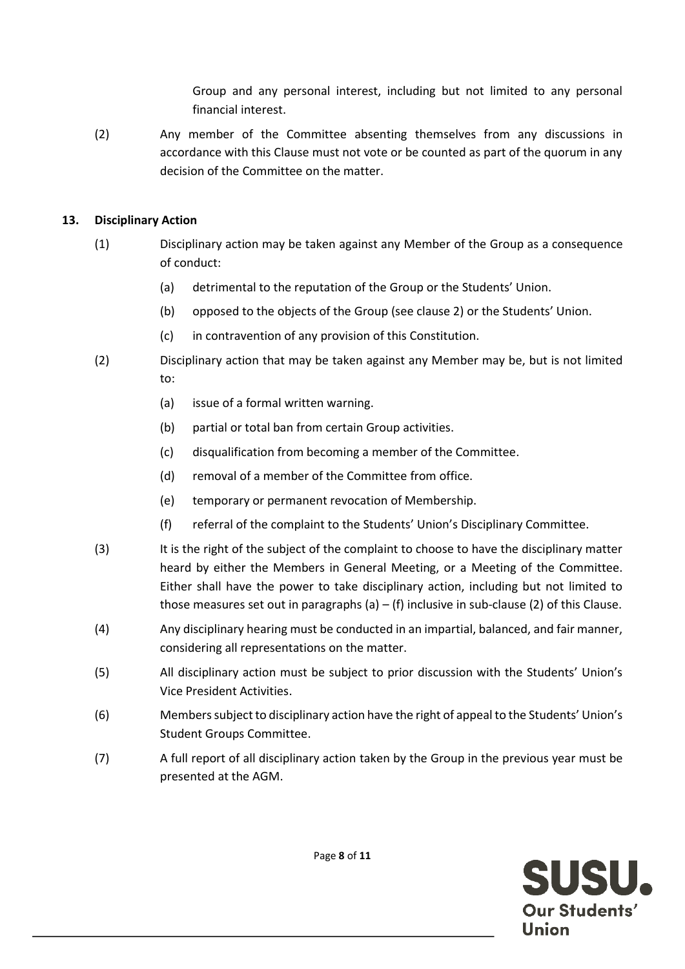Group and any personal interest, including but not limited to any personal financial interest.

(2) Any member of the Committee absenting themselves from any discussions in accordance with this Clause must not vote or be counted as part of the quorum in any decision of the Committee on the matter.

## **13. Disciplinary Action**

- (1) Disciplinary action may be taken against any Member of the Group as a consequence of conduct:
	- (a) detrimental to the reputation of the Group or the Students' Union.
	- (b) opposed to the objects of the Group (see clause 2) or the Students' Union.
	- (c) in contravention of any provision of this Constitution.
- (2) Disciplinary action that may be taken against any Member may be, but is not limited to:
	- (a) issue of a formal written warning.
	- (b) partial or total ban from certain Group activities.
	- (c) disqualification from becoming a member of the Committee.
	- (d) removal of a member of the Committee from office.
	- (e) temporary or permanent revocation of Membership.
	- (f) referral of the complaint to the Students' Union's Disciplinary Committee.
- (3) It is the right of the subject of the complaint to choose to have the disciplinary matter heard by either the Members in General Meeting, or a Meeting of the Committee. Either shall have the power to take disciplinary action, including but not limited to those measures set out in paragraphs (a) – (f) inclusive in sub-clause (2) of this Clause.
- (4) Any disciplinary hearing must be conducted in an impartial, balanced, and fair manner, considering all representations on the matter.
- (5) All disciplinary action must be subject to prior discussion with the Students' Union's Vice President Activities.
- (6) Members subject to disciplinary action have the right of appeal to the Students' Union's Student Groups Committee.
- (7) A full report of all disciplinary action taken by the Group in the previous year must be presented at the AGM.

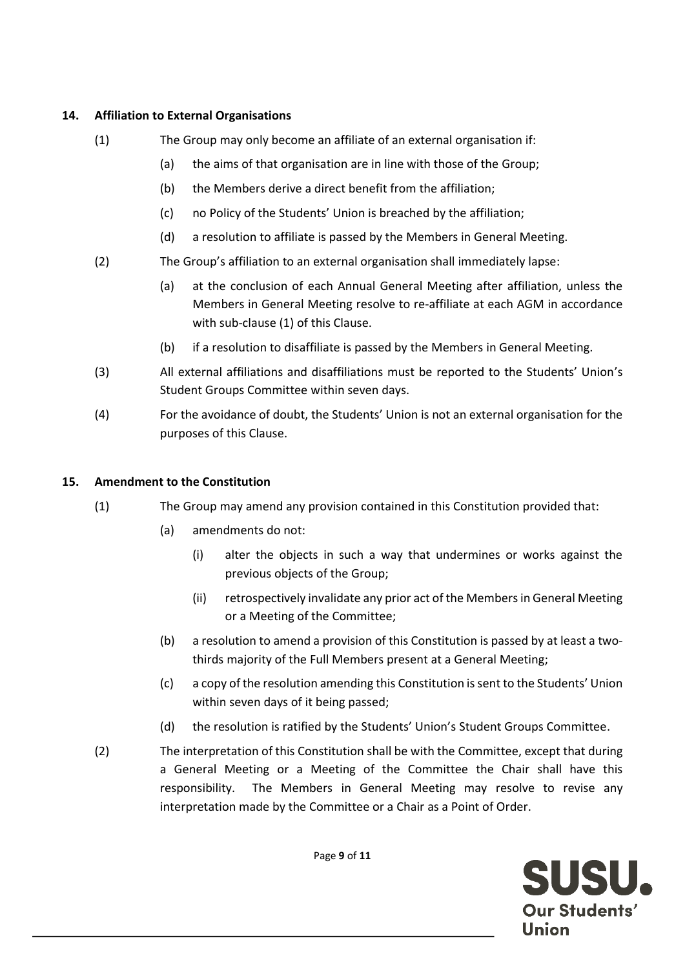## **14. Affiliation to External Organisations**

- (1) The Group may only become an affiliate of an external organisation if:
	- (a) the aims of that organisation are in line with those of the Group;
	- (b) the Members derive a direct benefit from the affiliation;
	- (c) no Policy of the Students' Union is breached by the affiliation;
	- (d) a resolution to affiliate is passed by the Members in General Meeting.
- (2) The Group's affiliation to an external organisation shall immediately lapse:
	- (a) at the conclusion of each Annual General Meeting after affiliation, unless the Members in General Meeting resolve to re-affiliate at each AGM in accordance with sub-clause (1) of this Clause.
	- (b) if a resolution to disaffiliate is passed by the Members in General Meeting.
- (3) All external affiliations and disaffiliations must be reported to the Students' Union's Student Groups Committee within seven days.
- (4) For the avoidance of doubt, the Students' Union is not an external organisation for the purposes of this Clause.

## **15. Amendment to the Constitution**

- (1) The Group may amend any provision contained in this Constitution provided that:
	- (a) amendments do not:
		- (i) alter the objects in such a way that undermines or works against the previous objects of the Group;
		- (ii) retrospectively invalidate any prior act of the Members in General Meeting or a Meeting of the Committee;
	- (b) a resolution to amend a provision of this Constitution is passed by at least a twothirds majority of the Full Members present at a General Meeting;
	- (c) a copy of the resolution amending this Constitution is sent to the Students' Union within seven days of it being passed;
	- (d) the resolution is ratified by the Students' Union's Student Groups Committee.
- (2) The interpretation of this Constitution shall be with the Committee, except that during a General Meeting or a Meeting of the Committee the Chair shall have this responsibility. The Members in General Meeting may resolve to revise any interpretation made by the Committee or a Chair as a Point of Order.

SUSU. Our Students' Union

Page **9** of **11**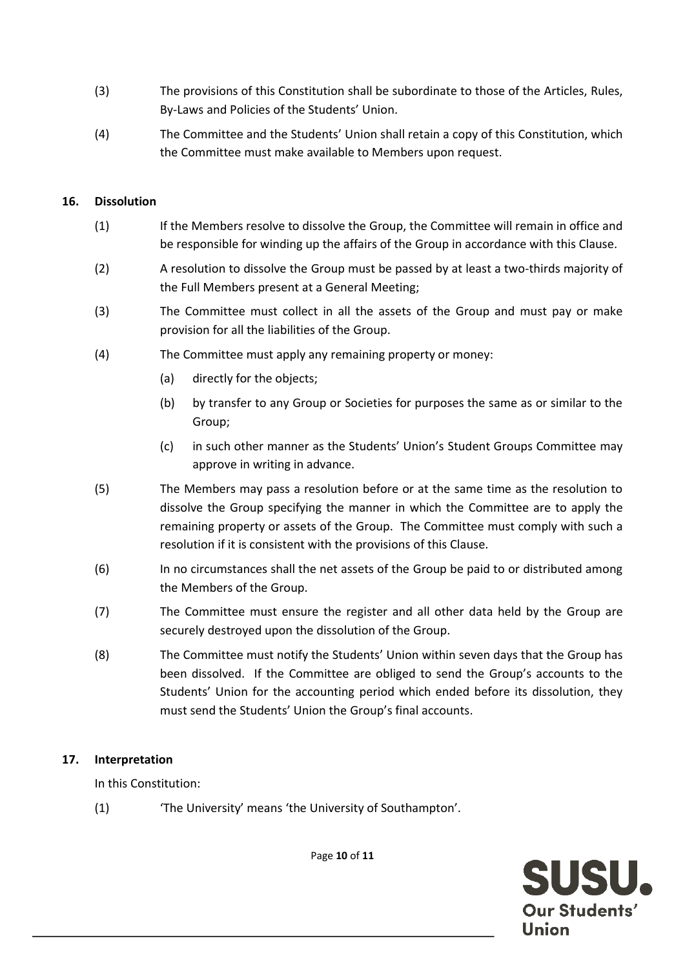- (3) The provisions of this Constitution shall be subordinate to those of the Articles, Rules, By-Laws and Policies of the Students' Union.
- (4) The Committee and the Students' Union shall retain a copy of this Constitution, which the Committee must make available to Members upon request.

# **16. Dissolution**

- (1) If the Members resolve to dissolve the Group, the Committee will remain in office and be responsible for winding up the affairs of the Group in accordance with this Clause.
- (2) A resolution to dissolve the Group must be passed by at least a two-thirds majority of the Full Members present at a General Meeting;
- (3) The Committee must collect in all the assets of the Group and must pay or make provision for all the liabilities of the Group.
- (4) The Committee must apply any remaining property or money:
	- (a) directly for the objects;
	- (b) by transfer to any Group or Societies for purposes the same as or similar to the Group;
	- (c) in such other manner as the Students' Union's Student Groups Committee may approve in writing in advance.
- (5) The Members may pass a resolution before or at the same time as the resolution to dissolve the Group specifying the manner in which the Committee are to apply the remaining property or assets of the Group. The Committee must comply with such a resolution if it is consistent with the provisions of this Clause.
- (6) In no circumstances shall the net assets of the Group be paid to or distributed among the Members of the Group.
- (7) The Committee must ensure the register and all other data held by the Group are securely destroyed upon the dissolution of the Group.
- (8) The Committee must notify the Students' Union within seven days that the Group has been dissolved. If the Committee are obliged to send the Group's accounts to the Students' Union for the accounting period which ended before its dissolution, they must send the Students' Union the Group's final accounts.

#### **17. Interpretation**

In this Constitution:

(1) 'The University' means 'the University of Southampton'.



Page **10** of **11**